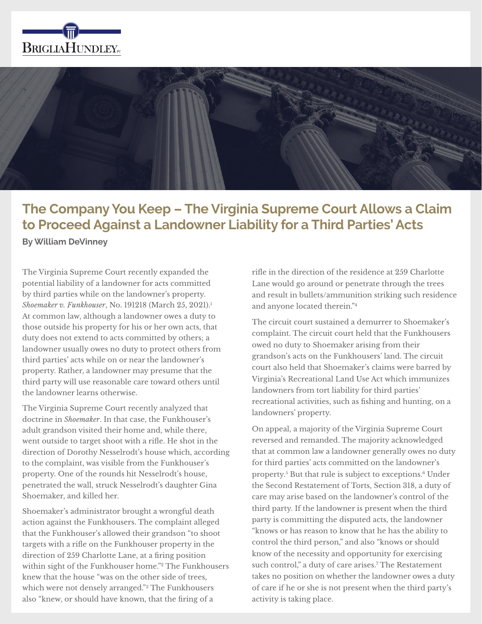



# **The Company You Keep – The Virginia Supreme Court Allows a Claim to Proceed Against a Landowner Liability for a Third Parties' Acts**

**By William DeVinney**

The Virginia Supreme Court recently expanded the potential liability of a landowner for acts committed by third parties while on the landowner's property. *Shoemaker v. Funkhouser*, No. 191218 (March 25, 2021).1 At common law, although a landowner owes a duty to those outside his property for his or her own acts, that duty does not extend to acts committed by others; a landowner usually owes no duty to protect others from third parties' acts while on or near the landowner's property. Rather, a landowner may presume that the third party will use reasonable care toward others until the landowner learns otherwise.

The Virginia Supreme Court recently analyzed that doctrine in *Shoemaker*. In that case, the Funkhouser's adult grandson visited their home and, while there, went outside to target shoot with a rifle. He shot in the direction of Dorothy Nesselrodt's house which, according to the complaint, was visible from the Funkhouser's property. One of the rounds hit Nesselrodt's house, penetrated the wall, struck Nesselrodt's daughter Gina Shoemaker, and killed her.

Shoemaker's administrator brought a wrongful death action against the Funkhousers. The complaint alleged that the Funkhouser's allowed their grandson "to shoot targets with a rifle on the Funkhouser property in the direction of 259 Charlotte Lane, at a firing position within sight of the Funkhouser home."2 The Funkhousers knew that the house "was on the other side of trees, which were not densely arranged."3 The Funkhousers also "knew, or should have known, that the firing of a

rifle in the direction of the residence at 259 Charlotte Lane would go around or penetrate through the trees and result in bullets/ammunition striking such residence and anyone located therein."4

The circuit court sustained a demurrer to Shoemaker's complaint. The circuit court held that the Funkhousers owed no duty to Shoemaker arising from their grandson's acts on the Funkhousers' land. The circuit court also held that Shoemaker's claims were barred by Virginia's Recreational Land Use Act which immunizes landowners from tort liability for third parties' recreational activities, such as fishing and hunting, on a landowners' property.

On appeal, a majority of the Virginia Supreme Court reversed and remanded. The majority acknowledged that at common law a landowner generally owes no duty for third parties' acts committed on the landowner's property.5 But that rule is subject to exceptions.6 Under the Second Restatement of Torts, Section 318, a duty of care may arise based on the landowner's control of the third party. If the landowner is present when the third party is committing the disputed acts, the landowner "knows or has reason to know that he has the ability to control the third person," and also "knows or should know of the necessity and opportunity for exercising such control," a duty of care arises.7 The Restatement takes no position on whether the landowner owes a duty of care if he or she is not present when the third party's activity is taking place.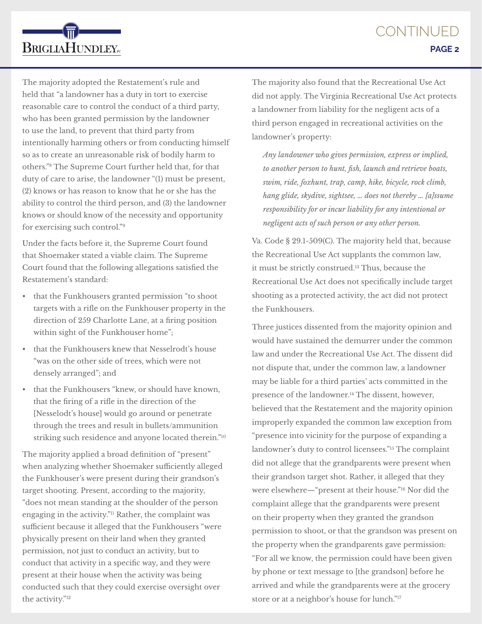The majority adopted the Restatement's rule and held that "a landowner has a duty in tort to exercise reasonable care to control the conduct of a third party, who has been granted permission by the landowner to use the land, to prevent that third party from intentionally harming others or from conducting himself so as to create an unreasonable risk of bodily harm to others."8 The Supreme Court further held that, for that duty of care to arise, the landowner "(1) must be present, (2) knows or has reason to know that he or she has the ability to control the third person, and (3) the landowner knows or should know of the necessity and opportunity for exercising such control."9

**BRIGLIAHUNDLEY**<sub>rc</sub>

Under the facts before it, the Supreme Court found that Shoemaker stated a viable claim. The Supreme Court found that the following allegations satisfied the Restatement's standard:

- that the Funkhousers granted permission "to shoot targets with a rifle on the Funkhouser property in the direction of 259 Charlotte Lane, at a firing position within sight of the Funkhouser home";
- that the Funkhousers knew that Nesselrodt's house "was on the other side of trees, which were not densely arranged"; and
- that the Funkhousers "knew, or should have known, that the firing of a rifle in the direction of the [Nesselodt's house] would go around or penetrate through the trees and result in bullets/ammunition striking such residence and anyone located therein."10

The majority applied a broad definition of "present" when analyzing whether Shoemaker sufficiently alleged the Funkhouser's were present during their grandson's target shooting. Present, according to the majority, "does not mean standing at the shoulder of the person engaging in the activity."11 Rather, the complaint was sufficient because it alleged that the Funkhousers "were physically present on their land when they granted permission, not just to conduct an activity, but to conduct that activity in a specific way, and they were present at their house when the activity was being conducted such that they could exercise oversight over the activity."12

The majority also found that the Recreational Use Act did not apply. The Virginia Recreational Use Act protects a landowner from liability for the negligent acts of a third person engaged in recreational activities on the landowner's property:

*Any landowner who gives permission, express or implied, to another person to hunt, fish, launch and retrieve boats, swim, ride, foxhunt, trap, camp, hike, bicycle, rock climb, hang glide, skydive, sightsee, … does not thereby … [a]ssume responsibility for or incur liability for any intentional or negligent acts of such person or any other person.*

Va. Code § 29.1-509(C). The majority held that, because the Recreational Use Act supplants the common law, it must be strictly construed.13 Thus, because the Recreational Use Act does not specifically include target shooting as a protected activity, the act did not protect the Funkhousers.

Three justices dissented from the majority opinion and would have sustained the demurrer under the common law and under the Recreational Use Act. The dissent did not dispute that, under the common law, a landowner may be liable for a third parties' acts committed in the presence of the landowner.14 The dissent, however, believed that the Restatement and the majority opinion improperly expanded the common law exception from "presence into vicinity for the purpose of expanding a landowner's duty to control licensees."15 The complaint did not allege that the grandparents were present when their grandson target shot. Rather, it alleged that they were elsewhere—"present at their house."16 Nor did the complaint allege that the grandparents were present on their property when they granted the grandson permission to shoot, or that the grandson was present on the property when the grandparents gave permission: "For all we know, the permission could have been given by phone or text message to [the grandson] before he arrived and while the grandparents were at the grocery store or at a neighbor's house for lunch."17